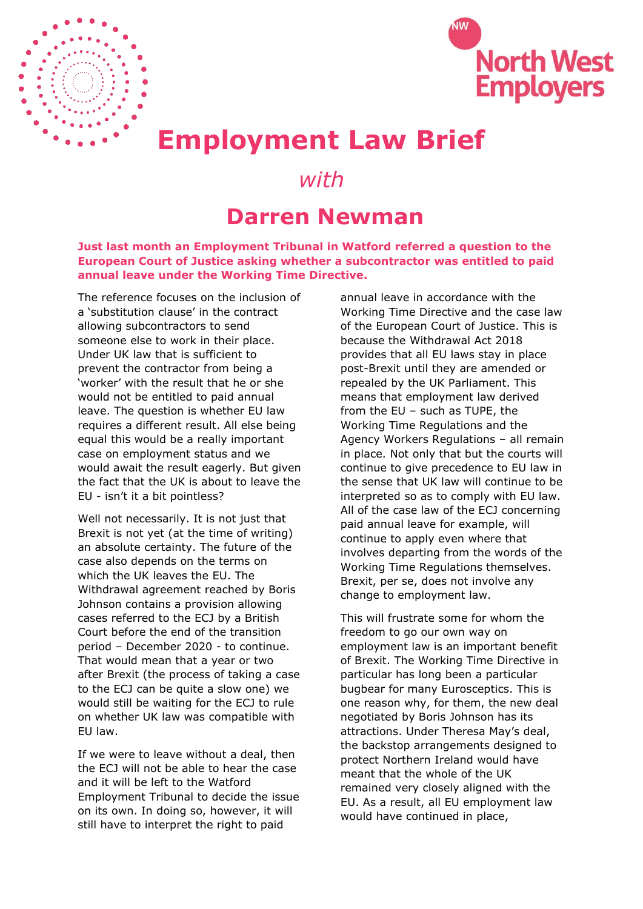



## **Employment Law Brief**

## *with*

## **Darren Newman**

**Just last month an Employment Tribunal in Watford referred a question to the European Court of Justice asking whether a subcontractor was entitled to paid annual leave under the Working Time Directive.**

The reference focuses on the inclusion of a 'substitution clause' in the contract allowing subcontractors to send someone else to work in their place. Under UK law that is sufficient to prevent the contractor from being a 'worker' with the result that he or she would not be entitled to paid annual leave. The question is whether EU law requires a different result. All else being equal this would be a really important case on employment status and we would await the result eagerly. But given the fact that the UK is about to leave the EU - isn't it a bit pointless?

Well not necessarily. It is not just that Brexit is not yet (at the time of writing) an absolute certainty. The future of the case also depends on the terms on which the UK leaves the EU. The Withdrawal agreement reached by Boris Johnson contains a provision allowing cases referred to the ECJ by a British Court before the end of the transition period – December 2020 - to continue. That would mean that a year or two after Brexit (the process of taking a case to the ECJ can be quite a slow one) we would still be waiting for the ECJ to rule on whether UK law was compatible with EU law.

If we were to leave without a deal, then the ECJ will not be able to hear the case and it will be left to the Watford Employment Tribunal to decide the issue on its own. In doing so, however, it will still have to interpret the right to paid

annual leave in accordance with the Working Time Directive and the case law of the European Court of Justice. This is because the Withdrawal Act 2018 provides that all EU laws stay in place post-Brexit until they are amended or repealed by the UK Parliament. This means that employment law derived from the EU – such as TUPE, the Working Time Regulations and the Agency Workers Regulations – all remain in place. Not only that but the courts will continue to give precedence to EU law in the sense that UK law will continue to be interpreted so as to comply with EU law. All of the case law of the ECJ concerning paid annual leave for example, will continue to apply even where that involves departing from the words of the Working Time Regulations themselves. Brexit, per se, does not involve any change to employment law.

This will frustrate some for whom the freedom to go our own way on employment law is an important benefit of Brexit. The Working Time Directive in particular has long been a particular bugbear for many Eurosceptics. This is one reason why, for them, the new deal negotiated by Boris Johnson has its attractions. Under Theresa May's deal, the backstop arrangements designed to protect Northern Ireland would have meant that the whole of the UK remained very closely aligned with the EU. As a result, all EU employment law would have continued in place,